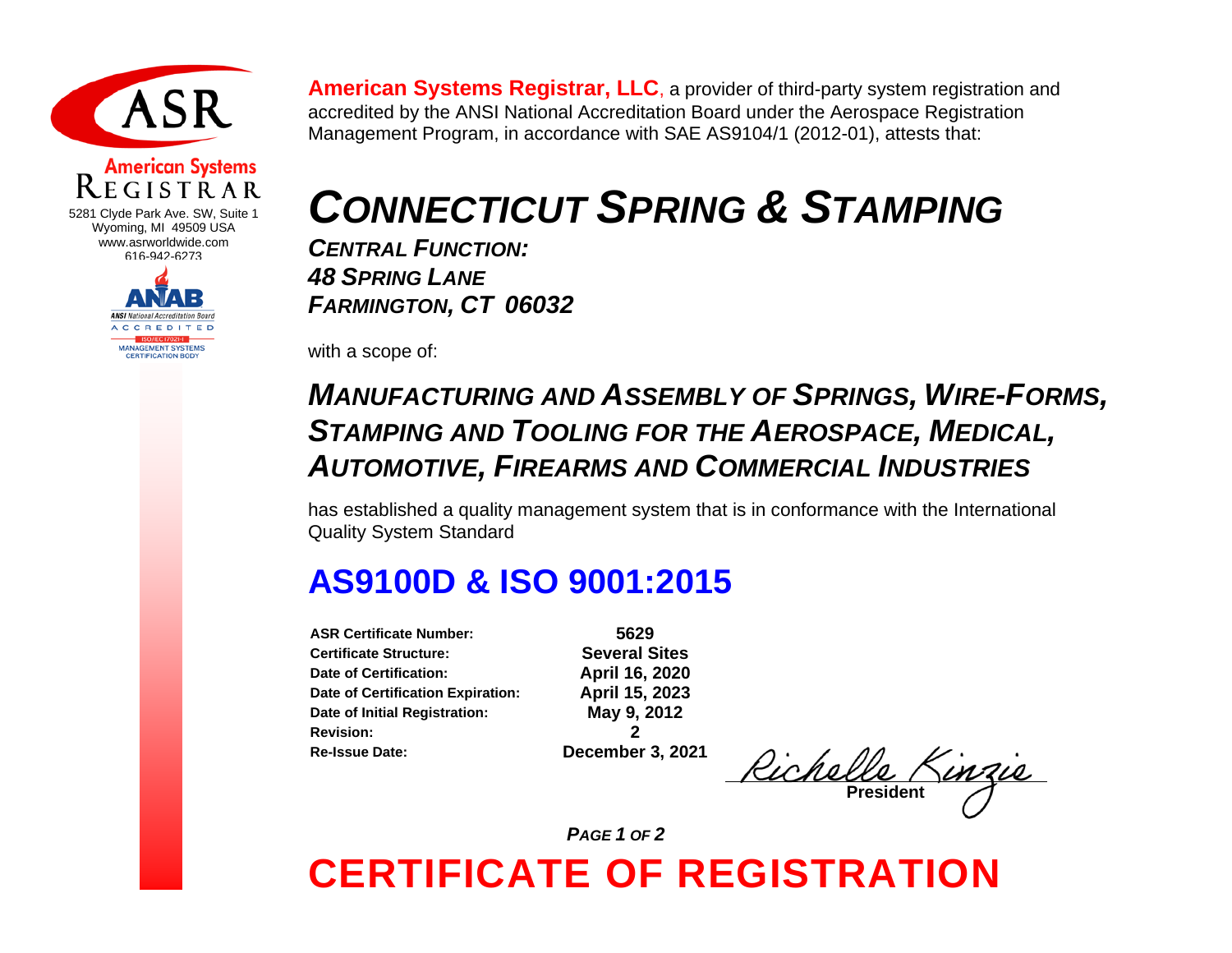

## **American Systems**

5281 Clyde Park Ave. SW, Suite 1 Wyoming, MI 49509 USA www.asrworldwide.com 616-942-6273



**American Systems Registrar, LLC**, a provider of third-party system registration and accredited by the ANSI National Accreditation Board under the Aerospace Registration Management Program, in accordance with SAE AS9104/1 (2012-01), attests that:

# *CONNECTICUT SPRING & STAMPING*

*CENTRAL FUNCTION: 48 SPRING LANE FARMINGTON, CT 06032*

with a scope of:

#### *MANUFACTURING AND ASSEMBLY OF SPRINGS, WIRE-FORMS, STAMPING AND TOOLING FOR THE AEROSPACE, MEDICAL, AUTOMOTIVE, FIREARMS AND COMMERCIAL INDUSTRIES*

has established a quality management system that is in conformance with the International Quality System Standard

### **AS9100D & ISO 9001:2015**

**ASR Certificate Number: 5629 Certificate Structure:** Several Sites<br>Date of Certification: **Several Sites**<br>April 16, 2020 **Date of Certification: Date of Certification Expiration: April 15, 2023 Date of Initial Registration: May 9, 2012 Revision: 2 Re-Issue Date: December 3, 2021**

Richelle **President**

*PAGE 1 OF 2* 

### **CERTIFICATE OF REGISTRATION**